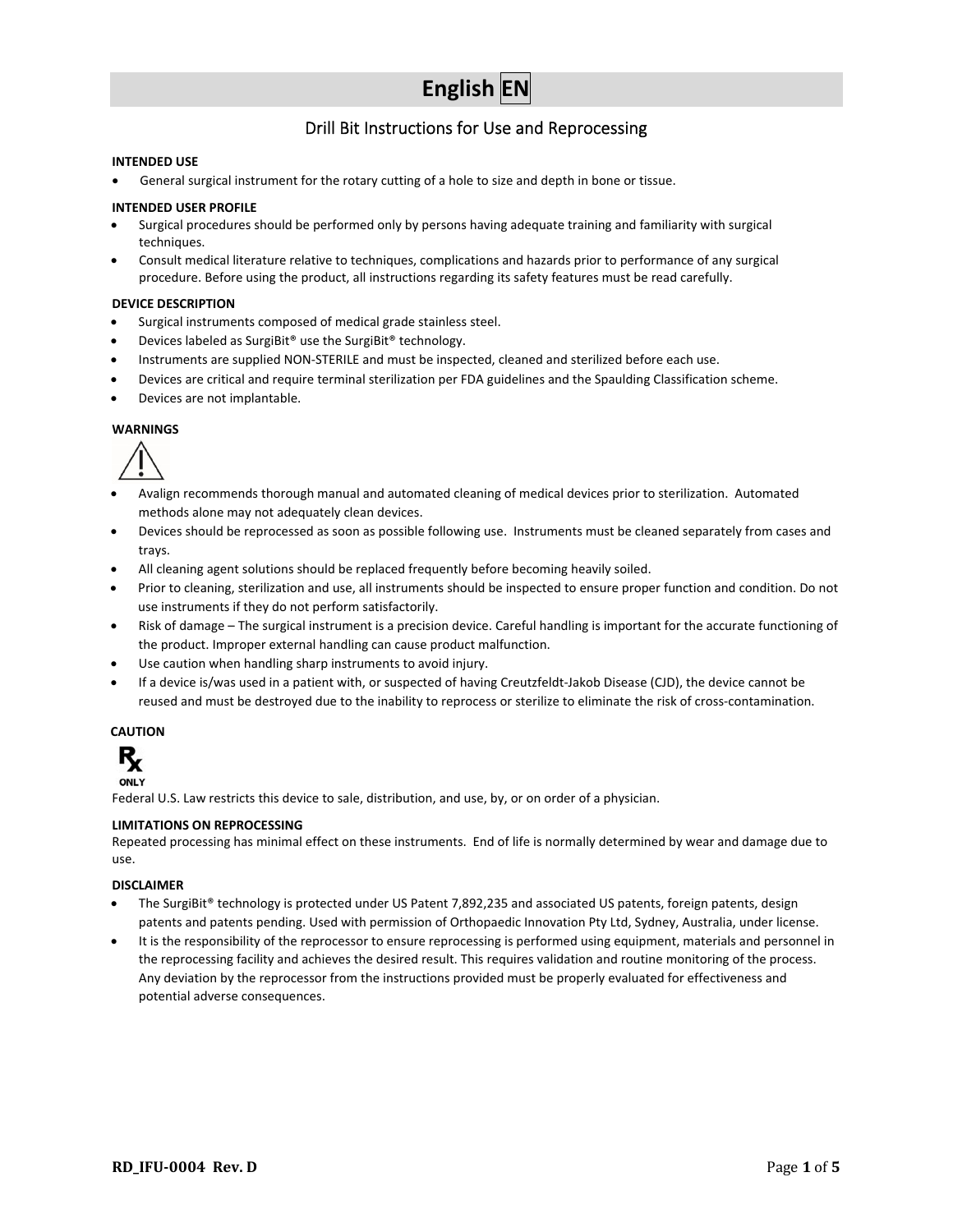# **English EN**

### Drill Bit Instructions for Use and Reprocessing

#### **INTENDED USE**

General surgical instrument for the rotary cutting of a hole to size and depth in bone or tissue.

#### **INTENDED USER PROFILE**

- Surgical procedures should be performed only by persons having adequate training and familiarity with surgical techniques.
- Consult medical literature relative to techniques, complications and hazards prior to performance of any surgical procedure. Before using the product, all instructions regarding its safety features must be read carefully.

#### **DEVICE DESCRIPTION**

- Surgical instruments composed of medical grade stainless steel.
- Devices labeled as SurgiBit® use the SurgiBit® technology.
- Instruments are supplied NON‐STERILE and must be inspected, cleaned and sterilized before each use.
- Devices are critical and require terminal sterilization per FDA guidelines and the Spaulding Classification scheme.
- Devices are not implantable.

#### **WARNINGS**



- Avalign recommends thorough manual and automated cleaning of medical devices prior to sterilization. Automated methods alone may not adequately clean devices.
- Devices should be reprocessed as soon as possible following use. Instruments must be cleaned separately from cases and trays.
- All cleaning agent solutions should be replaced frequently before becoming heavily soiled.
- Prior to cleaning, sterilization and use, all instruments should be inspected to ensure proper function and condition. Do not use instruments if they do not perform satisfactorily.
- Risk of damage The surgical instrument is a precision device. Careful handling is important for the accurate functioning of the product. Improper external handling can cause product malfunction.
- Use caution when handling sharp instruments to avoid injury.
- If a device is/was used in a patient with, or suspected of having Creutzfeldt‐Jakob Disease (CJD), the device cannot be reused and must be destroyed due to the inability to reprocess or sterilize to eliminate the risk of cross-contamination.

### **CAUTION**



Federal U.S. Law restricts this device to sale, distribution, and use, by, or on order of a physician.

#### **LIMITATIONS ON REPROCESSING**

Repeated processing has minimal effect on these instruments. End of life is normally determined by wear and damage due to use.

#### **DISCLAIMER**

- The SurgiBit® technology is protected under US Patent 7,892,235 and associated US patents, foreign patents, design patents and patents pending. Used with permission of Orthopaedic Innovation Pty Ltd, Sydney, Australia, under license.
- It is the responsibility of the reprocessor to ensure reprocessing is performed using equipment, materials and personnel in the reprocessing facility and achieves the desired result. This requires validation and routine monitoring of the process. Any deviation by the reprocessor from the instructions provided must be properly evaluated for effectiveness and potential adverse consequences.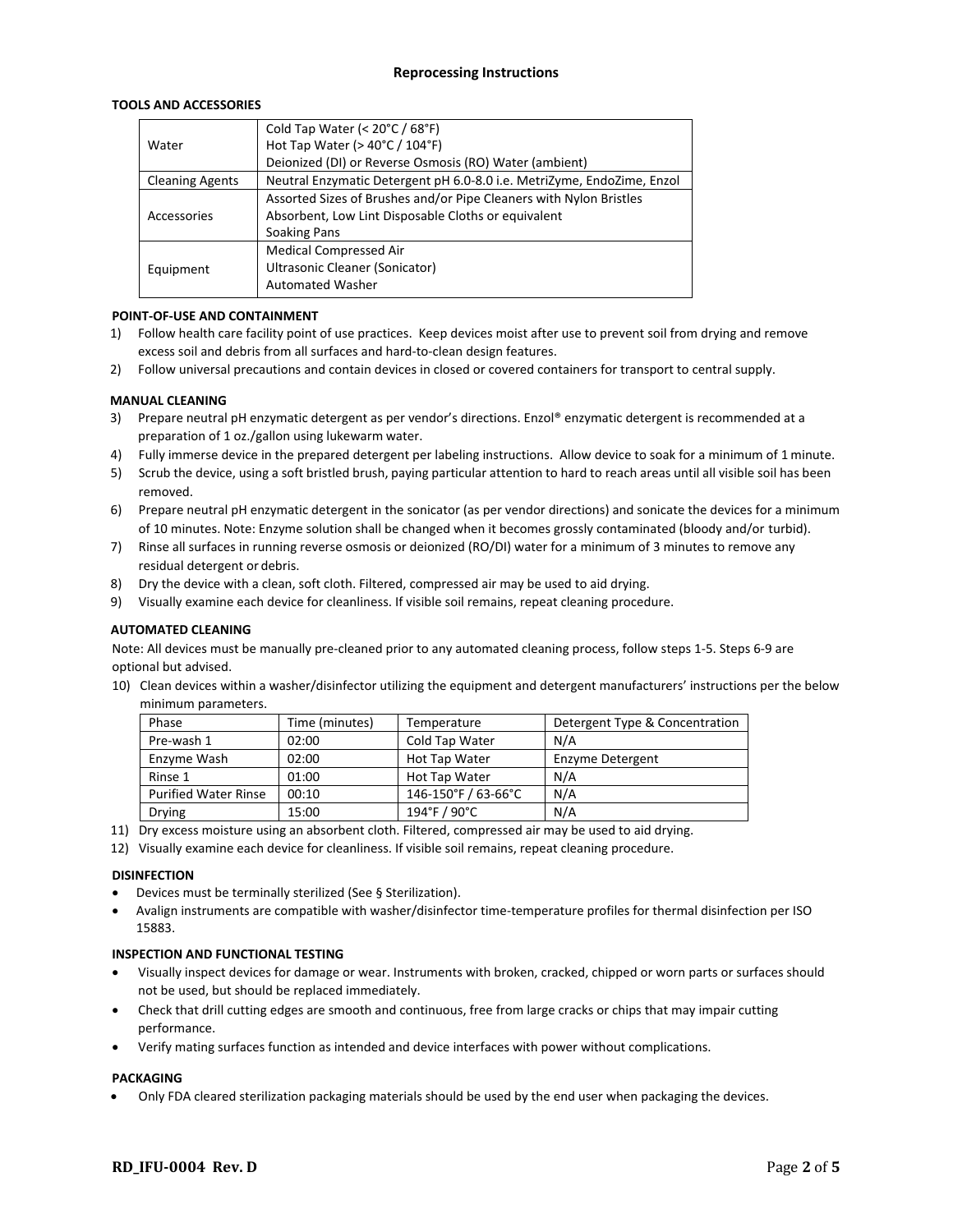#### **Reprocessing Instructions**

#### **TOOLS AND ACCESSORIES**

|                        | Cold Tap Water (< 20°C / 68°F)                                         |
|------------------------|------------------------------------------------------------------------|
| Water                  | Hot Tap Water ( $>$ 40 $^{\circ}$ C / 104 $^{\circ}$ F)                |
|                        | Deionized (DI) or Reverse Osmosis (RO) Water (ambient)                 |
| <b>Cleaning Agents</b> | Neutral Enzymatic Detergent pH 6.0-8.0 i.e. MetriZyme, EndoZime, Enzol |
|                        | Assorted Sizes of Brushes and/or Pipe Cleaners with Nylon Bristles     |
| Accessories            | Absorbent, Low Lint Disposable Cloths or equivalent                    |
|                        | <b>Soaking Pans</b>                                                    |
|                        | <b>Medical Compressed Air</b>                                          |
| Equipment              | Ultrasonic Cleaner (Sonicator)                                         |
|                        | <b>Automated Washer</b>                                                |
|                        |                                                                        |

#### **POINT‐OF‐USE AND CONTAINMENT**

- 1) Follow health care facility point of use practices. Keep devices moist after use to prevent soil from drying and remove excess soil and debris from all surfaces and hard‐to‐clean design features.
- 2) Follow universal precautions and contain devices in closed or covered containers for transport to central supply.

#### **MANUAL CLEANING**

- 3) Prepare neutral pH enzymatic detergent as per vendor's directions. Enzol® enzymatic detergent is recommended at a preparation of 1 oz./gallon using lukewarm water.
- 4) Fully immerse device in the prepared detergent per labeling instructions. Allow device to soak for a minimum of 1 minute.
- 5) Scrub the device, using a soft bristled brush, paying particular attention to hard to reach areas until all visible soil has been removed.
- 6) Prepare neutral pH enzymatic detergent in the sonicator (as per vendor directions) and sonicate the devices for a minimum of 10 minutes. Note: Enzyme solution shall be changed when it becomes grossly contaminated (bloody and/or turbid).
- 7) Rinse all surfaces in running reverse osmosis or deionized (RO/DI) water for a minimum of 3 minutes to remove any residual detergent or debris.
- 8) Dry the device with a clean, soft cloth. Filtered, compressed air may be used to aid drying.
- 9) Visually examine each device for cleanliness. If visible soil remains, repeat cleaning procedure.

#### **AUTOMATED CLEANING**

Note: All devices must be manually pre‐cleaned prior to any automated cleaning process, follow steps 1‐5. Steps 6‐9 are optional but advised.

10) Clean devices within a washer/disinfector utilizing the equipment and detergent manufacturers' instructions per the below minimum parameters.

| Phase                       | Time (minutes) | Temperature         | Detergent Type & Concentration |
|-----------------------------|----------------|---------------------|--------------------------------|
| Pre-wash 1                  | 02:00          | Cold Tap Water      | N/A                            |
| Enzyme Wash                 | 02:00          | Hot Tap Water       | Enzyme Detergent               |
| Rinse 1                     | 01:00          | Hot Tap Water       | N/A                            |
| <b>Purified Water Rinse</b> | 00:10          | 146-150°F / 63-66°C | N/A                            |
| Drying                      | 15:00          | 194°F / 90°C        | N/A                            |

- 11) Dry excess moisture using an absorbent cloth. Filtered, compressed air may be used to aid drying.
- 12) Visually examine each device for cleanliness. If visible soil remains, repeat cleaning procedure.

#### **DISINFECTION**

- Devices must be terminally sterilized (See § Sterilization).
- Avalign instruments are compatible with washer/disinfector time‐temperature profiles for thermal disinfection per ISO 15883.

#### **INSPECTION AND FUNCTIONAL TESTING**

- Visually inspect devices for damage or wear. Instruments with broken, cracked, chipped or worn parts or surfaces should not be used, but should be replaced immediately.
- Check that drill cutting edges are smooth and continuous, free from large cracks or chips that may impair cutting performance.
- Verify mating surfaces function as intended and device interfaces with power without complications.

#### **PACKAGING**

Only FDA cleared sterilization packaging materials should be used by the end user when packaging the devices.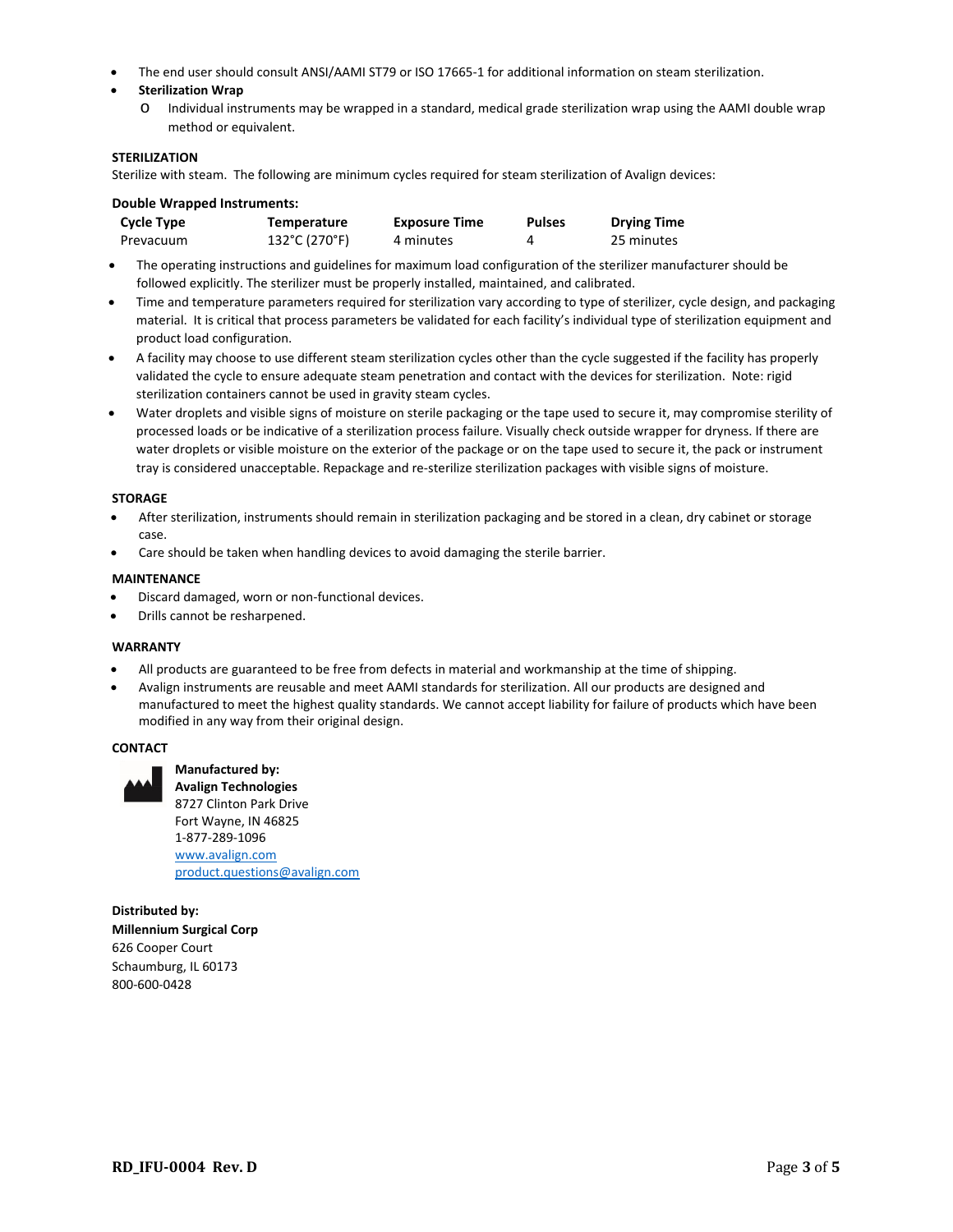- The end user should consult ANSI/AAMI ST79 or ISO 17665‐1 for additional information on steam sterilization.
- **Sterilization Wrap**
	- o Individual instruments may be wrapped in a standard, medical grade sterilization wrap using the AAMI double wrap method or equivalent.

#### **STERILIZATION**

Sterilize with steam. The following are minimum cycles required for steam sterilization of Avalign devices:

| <b>Double Wrapped Instruments:</b> |                    |                      |               |                    |
|------------------------------------|--------------------|----------------------|---------------|--------------------|
| <b>Cycle Type</b>                  | <b>Temperature</b> | <b>Exposure Time</b> | <b>Pulses</b> | <b>Drying Time</b> |
| Prevacuum                          | 132°C (270°F)      | 4 minutes            | 4             | 25 minutes         |

- The operating instructions and guidelines for maximum load configuration of the sterilizer manufacturer should be followed explicitly. The sterilizer must be properly installed, maintained, and calibrated.
- Time and temperature parameters required for sterilization vary according to type of sterilizer, cycle design, and packaging material. It is critical that process parameters be validated for each facility's individual type of sterilization equipment and product load configuration.
- A facility may choose to use different steam sterilization cycles other than the cycle suggested if the facility has properly validated the cycle to ensure adequate steam penetration and contact with the devices for sterilization. Note: rigid sterilization containers cannot be used in gravity steam cycles.
- Water droplets and visible signs of moisture on sterile packaging or the tape used to secure it, may compromise sterility of processed loads or be indicative of a sterilization process failure. Visually check outside wrapper for dryness. If there are water droplets or visible moisture on the exterior of the package or on the tape used to secure it, the pack or instrument tray is considered unacceptable. Repackage and re‐sterilize sterilization packages with visible signs of moisture.

#### **STORAGE**

- After sterilization, instruments should remain in sterilization packaging and be stored in a clean, dry cabinet or storage case.
- Care should be taken when handling devices to avoid damaging the sterile barrier.

#### **MAINTENANCE**

- Discard damaged, worn or non‐functional devices.
- Drills cannot be resharpened.

**Manufactured by:** 

#### **WARRANTY**

- All products are guaranteed to be free from defects in material and workmanship at the time of shipping.
- Avalign instruments are reusable and meet AAMI standards for sterilization. All our products are designed and manufactured to meet the highest quality standards. We cannot accept liability for failure of products which have been modified in any way from their original design.

#### **CONTACT**



**Avalign Technologies**  8727 Clinton Park Drive Fort Wayne, IN 46825 1‐877‐289‐1096 www.avalign.com product.questions@avalign.com

**Distributed by: Millennium Surgical Corp**  626 Cooper Court Schaumburg, IL 60173 800‐600‐0428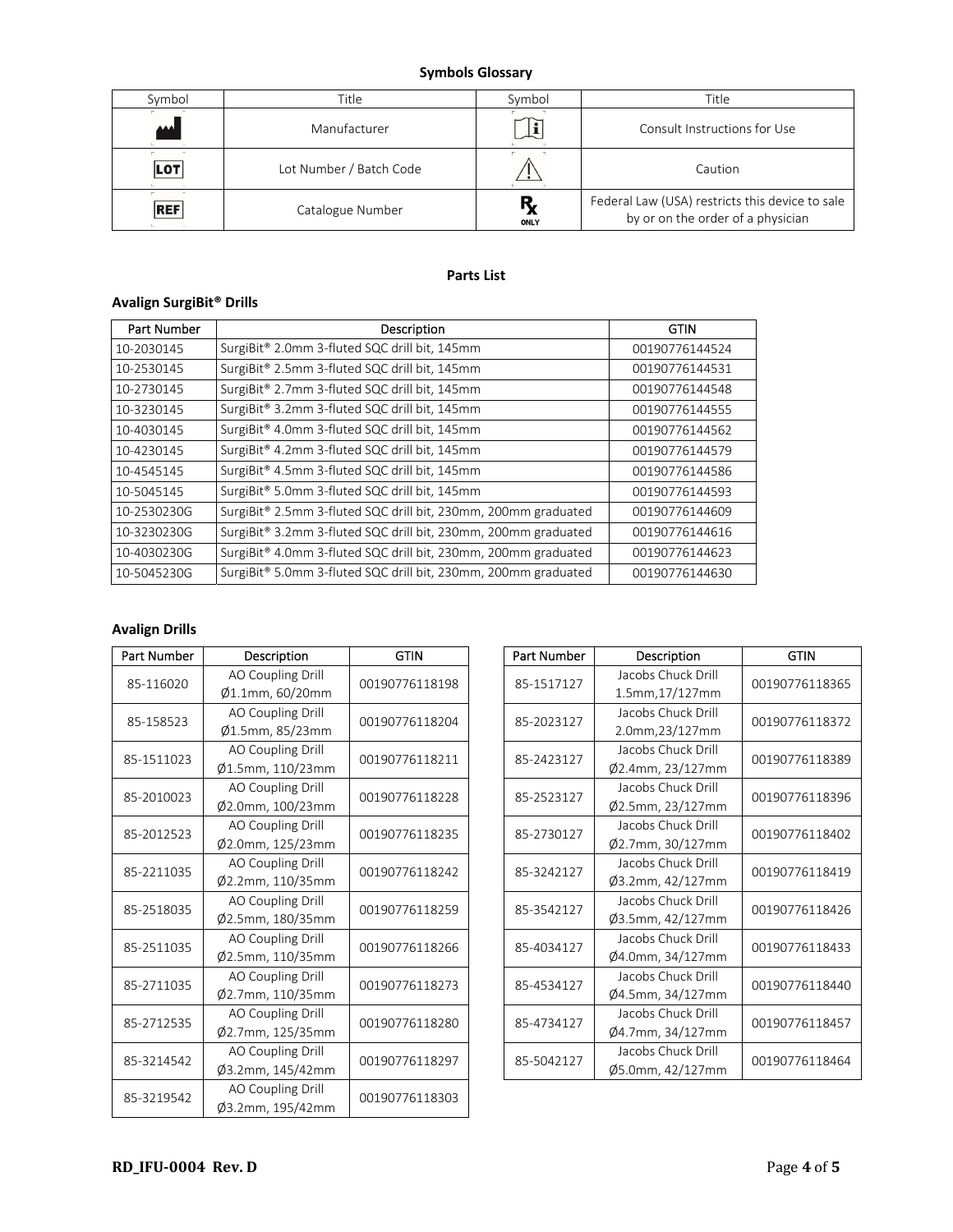### **Symbols Glossary**

| Symbol     | Title                   | Symbol            | Title                                                                                |
|------------|-------------------------|-------------------|--------------------------------------------------------------------------------------|
| المم       | Manufacturer            |                   | Consult Instructions for Use                                                         |
| <b>LOT</b> | Lot Number / Batch Code |                   | Caution                                                                              |
| <b>REF</b> | Catalogue Number        | Ŗ,<br><b>ONLY</b> | Federal Law (USA) restricts this device to sale<br>by or on the order of a physician |

### **Parts List**

## **Avalign SurgiBit® Drills**

| <b>Part Number</b> | Description                                                                | GTIN           |
|--------------------|----------------------------------------------------------------------------|----------------|
| 10-2030145         | SurgiBit <sup>®</sup> 2.0mm 3-fluted SQC drill bit, 145mm                  | 00190776144524 |
| 10-2530145         | SurgiBit® 2.5mm 3-fluted SQC drill bit, 145mm                              | 00190776144531 |
| 10-2730145         | SurgiBit® 2.7mm 3-fluted SQC drill bit, 145mm                              | 00190776144548 |
| 10-3230145         | SurgiBit <sup>®</sup> 3.2mm 3-fluted SQC drill bit, 145mm                  | 00190776144555 |
| 10-4030145         | SurgiBit <sup>®</sup> 4.0mm 3-fluted SQC drill bit, 145mm                  | 00190776144562 |
| 10-4230145         | SurgiBit <sup>®</sup> 4.2mm 3-fluted SQC drill bit, 145mm                  | 00190776144579 |
| 10-4545145         | SurgiBit <sup>®</sup> 4.5mm 3-fluted SQC drill bit, 145mm                  | 00190776144586 |
| 10-5045145         | SurgiBit <sup>®</sup> 5.0mm 3-fluted SQC drill bit, 145mm                  | 00190776144593 |
| 10-2530230G        | SurgiBit® 2.5mm 3-fluted SQC drill bit, 230mm, 200mm graduated             | 00190776144609 |
| 10-3230230G        | SurgiBit® 3.2mm 3-fluted SQC drill bit, 230mm, 200mm graduated             | 00190776144616 |
| 10-4030230G        | SurgiBit® 4.0mm 3-fluted SQC drill bit, 230mm, 200mm graduated             | 00190776144623 |
| 10-5045230G        | SurgiBit <sup>®</sup> 5.0mm 3-fluted SQC drill bit, 230mm, 200mm graduated | 00190776144630 |

### **Avalign Drills**

| Part Number | Description                           | <b>GTIN</b>    | Part Number | Description                            | <b>GTIN</b> |
|-------------|---------------------------------------|----------------|-------------|----------------------------------------|-------------|
| 85-116020   | AO Coupling Drill<br>Ø1.1mm, 60/20mm  | 00190776118198 | 85-1517127  | Jacobs Chuck Drill<br>1.5mm, 17/127mm  | 001907761   |
| 85-158523   | AO Coupling Drill<br>Ø1.5mm, 85/23mm  | 00190776118204 | 85-2023127  | Jacobs Chuck Drill<br>2.0mm, 23/127mm  | 001907761   |
| 85-1511023  | AO Coupling Drill<br>Ø1.5mm, 110/23mm | 00190776118211 | 85-2423127  | Jacobs Chuck Drill<br>Ø2.4mm, 23/127mm | 001907761   |
| 85-2010023  | AO Coupling Drill<br>Ø2.0mm, 100/23mm | 00190776118228 | 85-2523127  | Jacobs Chuck Drill<br>Ø2.5mm, 23/127mm | 001907761   |
| 85-2012523  | AO Coupling Drill<br>Ø2.0mm, 125/23mm | 00190776118235 | 85-2730127  | Jacobs Chuck Drill<br>Ø2.7mm, 30/127mm | 001907761   |
| 85-2211035  | AO Coupling Drill<br>Ø2.2mm, 110/35mm | 00190776118242 | 85-3242127  | Jacobs Chuck Drill<br>Ø3.2mm, 42/127mm | 001907761   |
| 85-2518035  | AO Coupling Drill<br>Ø2.5mm, 180/35mm | 00190776118259 | 85-3542127  | Jacobs Chuck Drill<br>Ø3.5mm, 42/127mm | 001907761   |
| 85-2511035  | AO Coupling Drill<br>Ø2.5mm, 110/35mm | 00190776118266 | 85-4034127  | Jacobs Chuck Drill<br>Ø4.0mm, 34/127mm | 001907761   |
| 85-2711035  | AO Coupling Drill<br>Ø2.7mm, 110/35mm | 00190776118273 | 85-4534127  | Jacobs Chuck Drill<br>Ø4.5mm, 34/127mm | 001907761   |
| 85-2712535  | AO Coupling Drill<br>Ø2.7mm, 125/35mm | 00190776118280 | 85-4734127  | Jacobs Chuck Drill<br>Ø4.7mm, 34/127mm | 001907761   |
| 85-3214542  | AO Coupling Drill<br>Ø3.2mm, 145/42mm | 00190776118297 | 85-5042127  | Jacobs Chuck Drill<br>Ø5.0mm, 42/127mm | 001907761   |
| 85-3219542  | AO Coupling Drill<br>Ø3.2mm, 195/42mm | 00190776118303 |             |                                        |             |

| <b>Part Number</b> | Description                            | <b>GTIN</b>    |
|--------------------|----------------------------------------|----------------|
| 85-1517127         | Jacobs Chuck Drill<br>1.5mm, 17/127mm  | 00190776118365 |
| 85-2023127         | Jacobs Chuck Drill<br>2.0mm, 23/127mm  | 00190776118372 |
| 85-2423127         | Jacobs Chuck Drill<br>Ø2.4mm, 23/127mm | 00190776118389 |
| 85-2523127         | Jacobs Chuck Drill<br>Ø2.5mm, 23/127mm | 00190776118396 |
| 85-2730127         | Jacobs Chuck Drill<br>Ø2.7mm, 30/127mm | 00190776118402 |
| 85-3242127         | Jacobs Chuck Drill<br>Ø3.2mm, 42/127mm | 00190776118419 |
| 85-3542127         | Jacobs Chuck Drill<br>Ø3.5mm, 42/127mm | 00190776118426 |
| 85-4034127         | Jacobs Chuck Drill<br>Ø4.0mm, 34/127mm | 00190776118433 |
| 85-4534127         | Jacobs Chuck Drill<br>Ø4.5mm, 34/127mm | 00190776118440 |
| 85-4734127         | Jacobs Chuck Drill<br>Ø4.7mm, 34/127mm | 00190776118457 |
| 85-5042127         | Jacobs Chuck Drill<br>Ø5.0mm, 42/127mm | 00190776118464 |